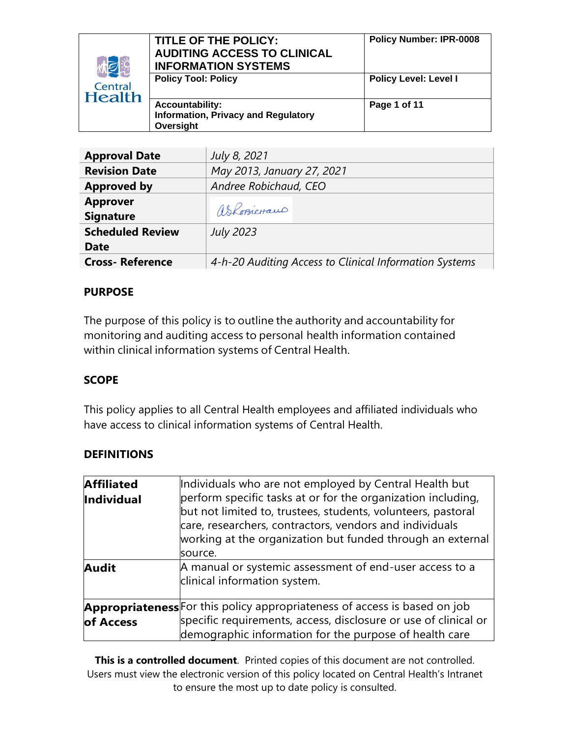| 林巨                       | TITLE OF THE POLICY:<br><b>AUDITING ACCESS TO CLINICAL</b><br><b>INFORMATION SYSTEMS</b> | <b>Policy Number: IPR-0008</b> |
|--------------------------|------------------------------------------------------------------------------------------|--------------------------------|
| Central<br><b>Health</b> | <b>Policy Tool: Policy</b>                                                               | <b>Policy Level: Level I</b>   |
|                          | <b>Accountability:</b><br><b>Information, Privacy and Regulatory</b><br>Oversight        | Page 1 of 11                   |

| <b>Approval Date</b>    | July 8, 2021                                           |
|-------------------------|--------------------------------------------------------|
| <b>Revision Date</b>    | May 2013, January 27, 2021                             |
| <b>Approved by</b>      | Andree Robichaud, CEO                                  |
| <b>Approver</b>         |                                                        |
| <b>Signature</b>        | askosicraus                                            |
| <b>Scheduled Review</b> | <b>July 2023</b>                                       |
| <b>Date</b>             |                                                        |
| <b>Cross-Reference</b>  | 4-h-20 Auditing Access to Clinical Information Systems |

#### **PURPOSE**

The purpose of this policy is to outline the authority and accountability for monitoring and auditing access to personal health information contained within clinical information systems of Central Health.

#### **SCOPE**

This policy applies to all Central Health employees and affiliated individuals who have access to clinical information systems of Central Health.

## **DEFINITIONS**

| <b>Affiliated</b> | Individuals who are not employed by Central Health but                                                                                                                                                                                                           |  |
|-------------------|------------------------------------------------------------------------------------------------------------------------------------------------------------------------------------------------------------------------------------------------------------------|--|
| Individual        | perform specific tasks at or for the organization including,<br>but not limited to, trustees, students, volunteers, pastoral<br>care, researchers, contractors, vendors and individuals<br>working at the organization but funded through an external<br>source. |  |
| <b>Audit</b>      | A manual or systemic assessment of end-user access to a<br>clinical information system.                                                                                                                                                                          |  |
|                   | <b>Appropriateness</b> For this policy appropriateness of access is based on job                                                                                                                                                                                 |  |
| of Access         | specific requirements, access, disclosure or use of clinical or<br>demographic information for the purpose of health care                                                                                                                                        |  |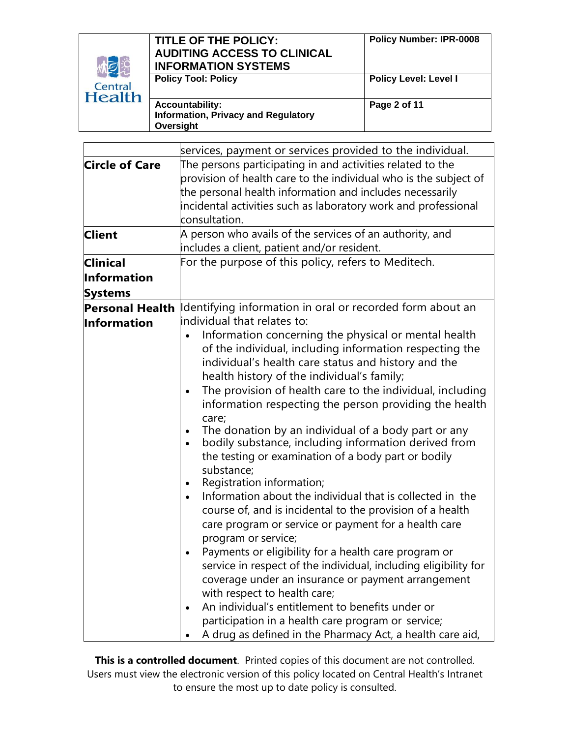| 炮                        | TITLE OF THE POLICY:<br><b>AUDITING ACCESS TO CLINICAL</b><br><b>INFORMATION SYSTEMS</b> | <b>Policy Number: IPR-0008</b> |
|--------------------------|------------------------------------------------------------------------------------------|--------------------------------|
| Central<br><b>Health</b> | <b>Policy Tool: Policy</b>                                                               | <b>Policy Level: Level I</b>   |
|                          | <b>Accountability:</b><br><b>Information, Privacy and Regulatory</b><br>Oversight        | Page 2 of 11                   |

|                                                           | services, payment or services provided to the individual.                                                                                                                                                                                                                                                                                                                                                                                                                                                                                                                                                                                                                                                                                                                                                                                                                                                                                                                                                                                                                                                                                                                                                                                                                        |  |
|-----------------------------------------------------------|----------------------------------------------------------------------------------------------------------------------------------------------------------------------------------------------------------------------------------------------------------------------------------------------------------------------------------------------------------------------------------------------------------------------------------------------------------------------------------------------------------------------------------------------------------------------------------------------------------------------------------------------------------------------------------------------------------------------------------------------------------------------------------------------------------------------------------------------------------------------------------------------------------------------------------------------------------------------------------------------------------------------------------------------------------------------------------------------------------------------------------------------------------------------------------------------------------------------------------------------------------------------------------|--|
| <b>Circle of Care</b><br><b>Client</b><br><b>Clinical</b> | The persons participating in and activities related to the<br>provision of health care to the individual who is the subject of<br>the personal health information and includes necessarily<br>incidental activities such as laboratory work and professional<br>consultation.<br>A person who avails of the services of an authority, and<br>includes a client, patient and/or resident.<br>For the purpose of this policy, refers to Meditech.                                                                                                                                                                                                                                                                                                                                                                                                                                                                                                                                                                                                                                                                                                                                                                                                                                  |  |
| <b>Information</b><br><b>Systems</b>                      |                                                                                                                                                                                                                                                                                                                                                                                                                                                                                                                                                                                                                                                                                                                                                                                                                                                                                                                                                                                                                                                                                                                                                                                                                                                                                  |  |
| <b>Personal Health</b><br>Information                     | Identifying information in oral or recorded form about an<br>lindividual that relates to:<br>Information concerning the physical or mental health<br>of the individual, including information respecting the<br>individual's health care status and history and the<br>health history of the individual's family;<br>The provision of health care to the individual, including<br>information respecting the person providing the health<br>care;<br>The donation by an individual of a body part or any<br>bodily substance, including information derived from<br>the testing or examination of a body part or bodily<br>substance;<br>Registration information;<br>$\bullet$<br>Information about the individual that is collected in the<br>course of, and is incidental to the provision of a health<br>care program or service or payment for a health care<br>program or service;<br>Payments or eligibility for a health care program or<br>service in respect of the individual, including eligibility for<br>coverage under an insurance or payment arrangement<br>with respect to health care;<br>An individual's entitlement to benefits under or<br>participation in a health care program or service;<br>A drug as defined in the Pharmacy Act, a health care aid, |  |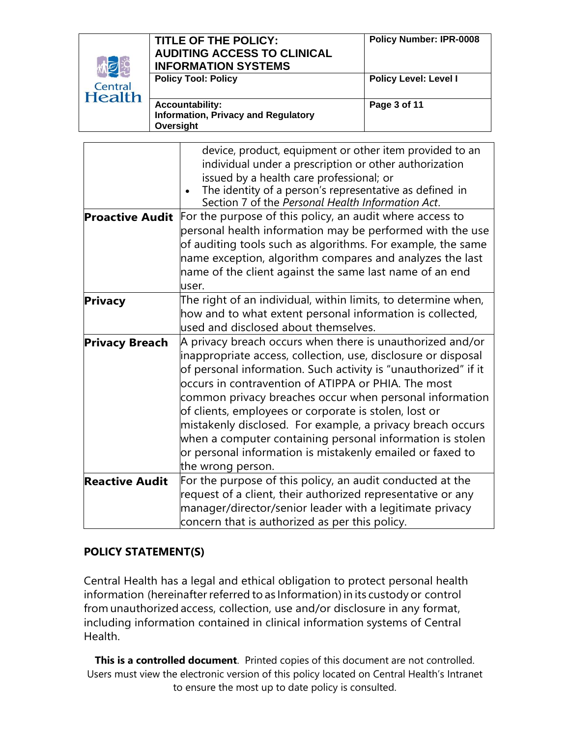| 恂<br>Central<br><b>Health</b> | TITLE OF THE POLICY:<br><b>AUDITING ACCESS TO CLINICAL</b><br><b>INFORMATION SYSTEMS</b> | <b>Policy Number: IPR-0008</b> |
|-------------------------------|------------------------------------------------------------------------------------------|--------------------------------|
|                               | <b>Policy Tool: Policy</b>                                                               | <b>Policy Level: Level I</b>   |
|                               | <b>Accountability:</b><br><b>Information, Privacy and Regulatory</b><br>Oversight        | Page 3 of 11                   |

|                        | device, product, equipment or other item provided to an<br>individual under a prescription or other authorization<br>issued by a health care professional; or<br>The identity of a person's representative as defined in<br>Section 7 of the Personal Health Information Act.                                                                                                                                                                                                                                                                                                                 |
|------------------------|-----------------------------------------------------------------------------------------------------------------------------------------------------------------------------------------------------------------------------------------------------------------------------------------------------------------------------------------------------------------------------------------------------------------------------------------------------------------------------------------------------------------------------------------------------------------------------------------------|
| <b>Proactive Audit</b> | For the purpose of this policy, an audit where access to<br>personal health information may be performed with the use<br>of auditing tools such as algorithms. For example, the same<br>$\mid$ name exception, algorithm compares and analyzes the last<br>name of the client against the same last name of an end<br>user.                                                                                                                                                                                                                                                                   |
| <b>Privacy</b>         | The right of an individual, within limits, to determine when,<br>how and to what extent personal information is collected,<br>used and disclosed about themselves.                                                                                                                                                                                                                                                                                                                                                                                                                            |
| <b>Privacy Breach</b>  | $\vert$ A privacy breach occurs when there is unauthorized and/or<br>inappropriate access, collection, use, disclosure or disposal<br>of personal information. Such activity is "unauthorized" if it<br>loccurs in contravention of ATIPPA or PHIA. The most<br>common privacy breaches occur when personal information<br>of clients, employees or corporate is stolen, lost or<br>mistakenly disclosed. For example, a privacy breach occurs<br>when a computer containing personal information is stolen<br>or personal information is mistakenly emailed or faxed to<br>the wrong person. |
| <b>Reactive Audit</b>  | For the purpose of this policy, an audit conducted at the<br>request of a client, their authorized representative or any<br>manager/director/senior leader with a legitimate privacy<br>concern that is authorized as per this policy.                                                                                                                                                                                                                                                                                                                                                        |

#### **POLICY STATEMENT(S)**

Central Health has a legal and ethical obligation to protect personal health information (hereinafter referred to as Information) in its custody or control from unauthorized access, collection, use and/or disclosure in any format, including information contained in clinical information systems of Central Health.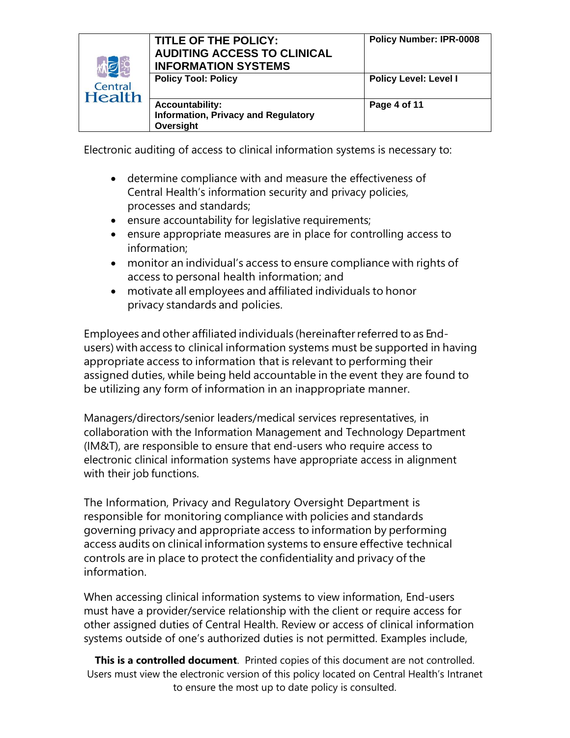| <b>ME</b>                | TITLE OF THE POLICY:<br><b>AUDITING ACCESS TO CLINICAL</b><br><b>INFORMATION SYSTEMS</b> | <b>Policy Number: IPR-0008</b> |
|--------------------------|------------------------------------------------------------------------------------------|--------------------------------|
| Central<br><b>Health</b> | <b>Policy Tool: Policy</b>                                                               | <b>Policy Level: Level I</b>   |
|                          | <b>Accountability:</b><br><b>Information, Privacy and Regulatory</b><br>Oversight        | Page 4 of 11                   |

Electronic auditing of access to clinical information systems is necessary to:

- determine compliance with and measure the effectiveness of Central Health's information security and privacy policies, processes and standards;
- ensure accountability for legislative requirements;
- ensure appropriate measures are in place for controlling access to information;
- monitor an individual's access to ensure compliance with rights of access to personal health information; and
- motivate all employees and affiliated individuals to honor privacy standards and policies.

Employees and other affiliated individuals (hereinafterreferred to as Endusers) with access to clinical information systems must be supported in having appropriate access to information that is relevant to performing their assigned duties, while being held accountable in the event they are found to be utilizing any form of information in an inappropriate manner.

Managers/directors/senior leaders/medical services representatives, in collaboration with the Information Management and Technology Department (IM&T), are responsible to ensure that end-users who require access to electronic clinical information systems have appropriate access in alignment with their job functions.

The Information, Privacy and Regulatory Oversight Department is responsible for monitoring compliance with policies and standards governing privacy and appropriate access to information by performing access audits on clinical information systems to ensure effective technical controls are in place to protect the confidentiality and privacy of the information.

When accessing clinical information systems to view information, End-users must have a provider/service relationship with the client or require access for other assigned duties of Central Health. Review or access of clinical information systems outside of one's authorized duties is not permitted. Examples include,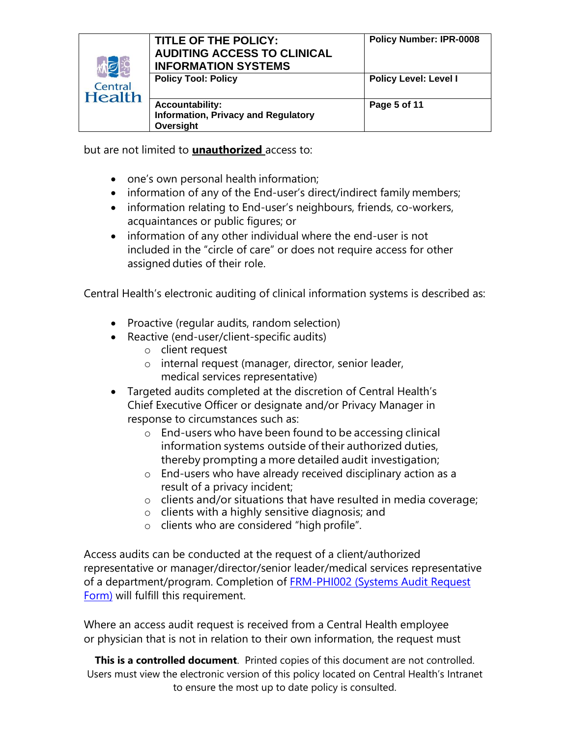| 林之<br>Central<br><b>Health</b> | TITLE OF THE POLICY:<br><b>AUDITING ACCESS TO CLINICAL</b><br><b>INFORMATION SYSTEMS</b> | <b>Policy Number: IPR-0008</b> |
|--------------------------------|------------------------------------------------------------------------------------------|--------------------------------|
|                                | <b>Policy Tool: Policy</b>                                                               | <b>Policy Level: Level I</b>   |
|                                | <b>Accountability:</b><br><b>Information, Privacy and Regulatory</b><br>Oversight        | Page 5 of 11                   |

but are not limited to **unauthorized** access to:

- one's own personal health information;
- information of any of the End-user's direct/indirect family members;
- information relating to End-user's neighbours, friends, co-workers, acquaintances or public figures; or
- information of any other individual where the end-user is not included in the "circle of care" or does not require access for other assigned duties of their role.

Central Health's electronic auditing of clinical information systems is described as:

- Proactive (regular audits, random selection)
- Reactive (end-user/client-specific audits)
	- o client request
	- o internal request (manager, director, senior leader, medical services representative)
- Targeted audits completed at the discretion of Central Health's Chief Executive Officer or designate and/or Privacy Manager in response to circumstances such as:
	- o End-users who have been found to be accessing clinical information systems outside of their authorized duties, thereby prompting a more detailed audit investigation;
	- o End-users who have already received disciplinary action as a result of a privacy incident;
	- o clients and/or situations that have resulted in media coverage;
	- o clients with a highly sensitive diagnosis; and
	- o clients who are considered "high profile".

Access audits can be conducted at the request of a client/authorized representative or manager/director/senior leader/medical services representative of a department/program. Completion of **FRM-PHI002** (Systems Audit Request [Form\)](http://chintranet/Forms/Information,%20Privacy%20and%20Regulatory%20Oversight/FRM-PHI002%20Systems%20Audit%20Request%20Form%20-%20Fillable.pdf) will fulfill this requirement.

Where an access audit request is received from a Central Health employee or physician that is not in relation to their own information, the request must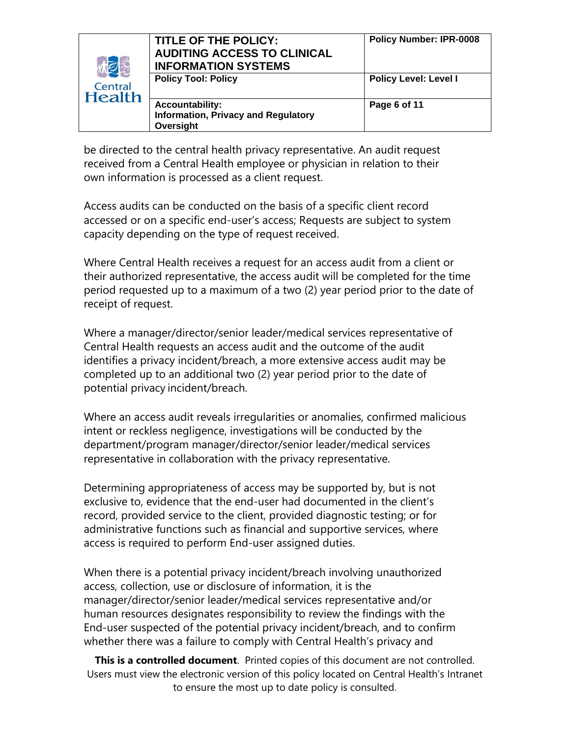| <b>MEE</b>               | <b>TITLE OF THE POLICY:</b><br><b>AUDITING ACCESS TO CLINICAL</b><br><b>INFORMATION SYSTEMS</b> | <b>Policy Number: IPR-0008</b> |
|--------------------------|-------------------------------------------------------------------------------------------------|--------------------------------|
| Central<br><b>Health</b> | <b>Policy Tool: Policy</b>                                                                      | <b>Policy Level: Level I</b>   |
|                          | <b>Accountability:</b><br><b>Information, Privacy and Regulatory</b><br>Oversight               | Page 6 of 11                   |

be directed to the central health privacy representative. An audit request received from a Central Health employee or physician in relation to their own information is processed as a client request.

Access audits can be conducted on the basis of a specific client record accessed or on a specific end-user's access; Requests are subject to system capacity depending on the type of request received.

Where Central Health receives a request for an access audit from a client or their authorized representative, the access audit will be completed for the time period requested up to a maximum of a two (2) year period prior to the date of receipt of request.

Where a manager/director/senior leader/medical services representative of Central Health requests an access audit and the outcome of the audit identifies a privacy incident/breach, a more extensive access audit may be completed up to an additional two (2) year period prior to the date of potential privacy incident/breach.

Where an access audit reveals irregularities or anomalies, confirmed malicious intent or reckless negligence, investigations will be conducted by the department/program manager/director/senior leader/medical services representative in collaboration with the privacy representative.

Determining appropriateness of access may be supported by, but is not exclusive to, evidence that the end-user had documented in the client's record, provided service to the client, provided diagnostic testing; or for administrative functions such as financial and supportive services, where access is required to perform End-user assigned duties.

When there is a potential privacy incident/breach involving unauthorized access, collection, use or disclosure of information, it is the manager/director/senior leader/medical services representative and/or human resources designates responsibility to review the findings with the End-user suspected of the potential privacy incident/breach, and to confirm whether there was a failure to comply with Central Health's privacy and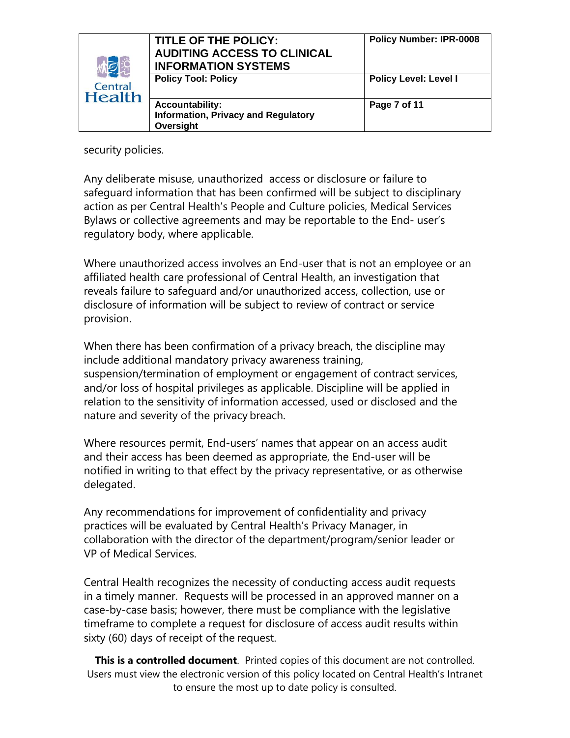| 小包                       | TITLE OF THE POLICY:<br><b>AUDITING ACCESS TO CLINICAL</b><br><b>INFORMATION SYSTEMS</b> | <b>Policy Number: IPR-0008</b> |
|--------------------------|------------------------------------------------------------------------------------------|--------------------------------|
| Central<br><b>Health</b> | <b>Policy Tool: Policy</b>                                                               | <b>Policy Level: Level I</b>   |
|                          | <b>Accountability:</b><br><b>Information, Privacy and Regulatory</b><br>Oversight        | Page 7 of 11                   |

security policies.

Any deliberate misuse, unauthorized access or disclosure or failure to safeguard information that has been confirmed will be subject to disciplinary action as per Central Health's People and Culture policies, Medical Services Bylaws or collective agreements and may be reportable to the End- user's regulatory body, where applicable.

Where unauthorized access involves an End-user that is not an employee or an affiliated health care professional of Central Health, an investigation that reveals failure to safeguard and/or unauthorized access, collection, use or disclosure of information will be subject to review of contract or service provision.

When there has been confirmation of a privacy breach, the discipline may include additional mandatory privacy awareness training, suspension/termination of employment or engagement of contract services, and/or loss of hospital privileges as applicable. Discipline will be applied in relation to the sensitivity of information accessed, used or disclosed and the nature and severity of the privacy breach.

Where resources permit, End-users' names that appear on an access audit and their access has been deemed as appropriate, the End-user will be notified in writing to that effect by the privacy representative, or as otherwise delegated.

Any recommendations for improvement of confidentiality and privacy practices will be evaluated by Central Health's Privacy Manager, in collaboration with the director of the department/program/senior leader or VP of Medical Services.

Central Health recognizes the necessity of conducting access audit requests in a timely manner. Requests will be processed in an approved manner on a case-by-case basis; however, there must be compliance with the legislative timeframe to complete a request for disclosure of access audit results within sixty (60) days of receipt of the request.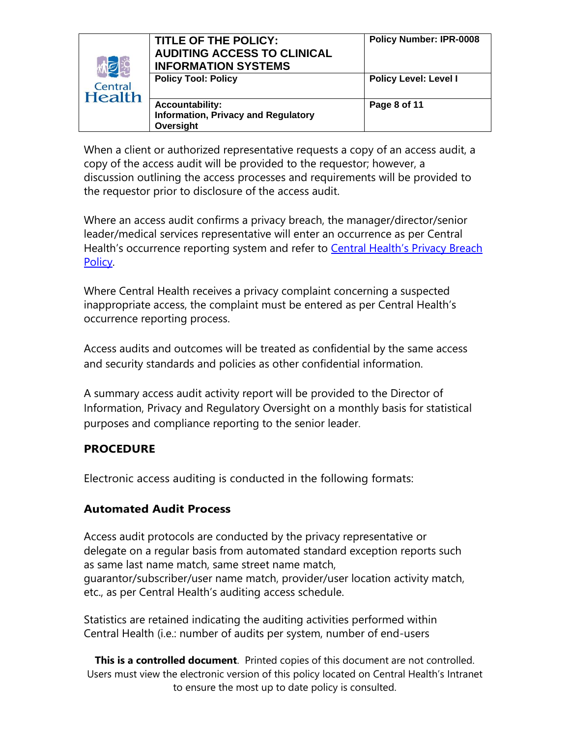| 林园                       | TITLE OF THE POLICY:<br><b>AUDITING ACCESS TO CLINICAL</b><br><b>INFORMATION SYSTEMS</b> | <b>Policy Number: IPR-0008</b> |
|--------------------------|------------------------------------------------------------------------------------------|--------------------------------|
| Central<br><b>Health</b> | <b>Policy Tool: Policy</b>                                                               | <b>Policy Level: Level I</b>   |
|                          | <b>Accountability:</b><br><b>Information, Privacy and Regulatory</b><br>Oversight        | Page 8 of 11                   |

When a client or authorized representative requests a copy of an access audit, a copy of the access audit will be provided to the requestor; however, a discussion outlining the access processes and requirements will be provided to the requestor prior to disclosure of the access audit.

Where an access audit confirms a privacy breach, the manager/director/senior leader/medical services representative will enter an occurrence as per Central Health's occurrence reporting system and refer to **[Central Health's](http://chintranet/pp/Privacy1/g.%20Privacy%20Breach/4-g-10-Privacy-Breach.pdf) Privacy Breach** [Policy.](http://chintranet/pp/Privacy1/g.%20Privacy%20Breach/4-g-10-Privacy-Breach.pdf)

Where Central Health receives a privacy complaint concerning a suspected inappropriate access, the complaint must be entered as per Central Health's occurrence reporting process.

Access audits and outcomes will be treated as confidential by the same access and security standards and policies as other confidential information.

A summary access audit activity report will be provided to the Director of Information, Privacy and Regulatory Oversight on a monthly basis for statistical purposes and compliance reporting to the senior leader.

## **PROCEDURE**

Electronic access auditing is conducted in the following formats:

## **Automated Audit Process**

Access audit protocols are conducted by the privacy representative or delegate on a regular basis from automated standard exception reports such as same last name match, same street name match, guarantor/subscriber/user name match, provider/user location activity match, etc., as per Central Health's auditing access schedule.

Statistics are retained indicating the auditing activities performed within Central Health (i.e.: number of audits per system, number of end-users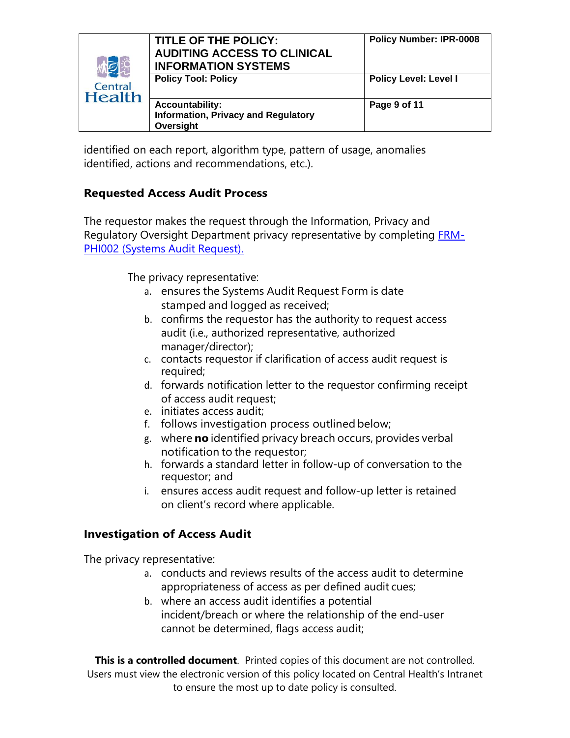| <b>KNE</b><br>Central<br><b>Health</b> | TITLE OF THE POLICY:<br><b>AUDITING ACCESS TO CLINICAL</b><br><b>INFORMATION SYSTEMS</b> | <b>Policy Number: IPR-0008</b> |
|----------------------------------------|------------------------------------------------------------------------------------------|--------------------------------|
|                                        | <b>Policy Tool: Policy</b>                                                               | <b>Policy Level: Level I</b>   |
|                                        | <b>Accountability:</b><br><b>Information, Privacy and Regulatory</b><br>Oversight        | Page 9 of 11                   |

identified on each report, algorithm type, pattern of usage, anomalies identified, actions and recommendations, etc.).

## **Requested Access Audit Process**

The requestor makes the request through the Information, Privacy and Regulatory Oversight Department privacy representative by completing **FRM-**[PHI002 \(Systems Audit Request\).](http://chintranet/Forms/Information,%20Privacy%20and%20Regulatory%20Oversight/FRM-PHI002%20Systems%20Audit%20Request%20Form%20-%20Fillable.pdf)

The privacy representative:

- a. ensures the Systems Audit Request Form is date stamped and logged as received;
- b. confirms the requestor has the authority to request access audit (i.e., authorized representative, authorized manager/director);
- c. contacts requestor if clarification of access audit request is required;
- d. forwards notification letter to the requestor confirming receipt of access audit request;
- e. initiates access audit;
- f. follows investigation process outlined below;
- g. where **no** identified privacy breach occurs, provides verbal notification to the requestor;
- h. forwards a standard letter in follow-up of conversation to the requestor; and
- i. ensures access audit request and follow-up letter is retained on client's record where applicable.

## **Investigation of Access Audit**

The privacy representative:

- a. conducts and reviews results of the access audit to determine appropriateness of access as per defined audit cues;
- b. where an access audit identifies a potential incident/breach or where the relationship of the end-user cannot be determined, flags access audit;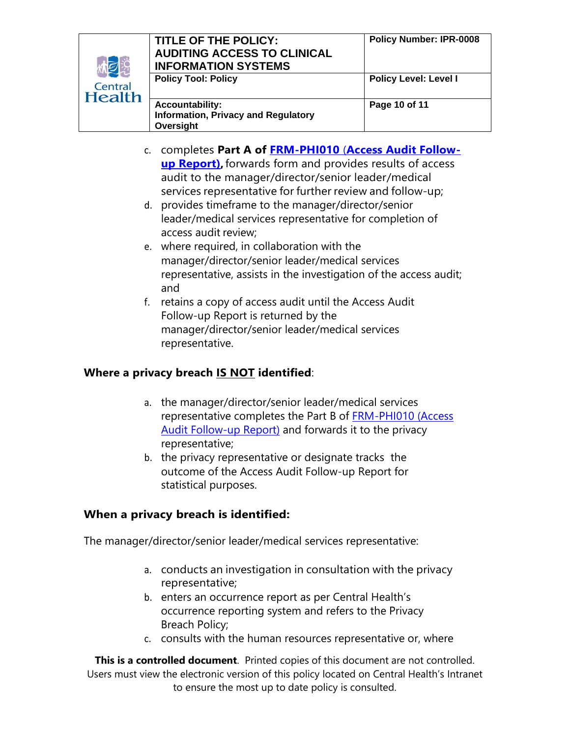| <b>MO</b><br>Central<br><b>Health</b> | TITLE OF THE POLICY:<br><b>AUDITING ACCESS TO CLINICAL</b><br><b>INFORMATION SYSTEMS</b> | <b>Policy Number: IPR-0008</b> |
|---------------------------------------|------------------------------------------------------------------------------------------|--------------------------------|
|                                       | <b>Policy Tool: Policy</b>                                                               | <b>Policy Level: Level I</b>   |
|                                       | <b>Accountability:</b><br><b>Information, Privacy and Regulatory</b><br>Oversight        | Page 10 of 11                  |

- c. completes **Part A of FRM-PHI010** (**[Access Audit Follow](http://chintranet/Forms/Corporate%20Improvement/FRM-PHI010%20%20Access%20Audit%20Incident%20Follow-up%20Report.pdf)[up Report\),](http://chintranet/Forms/Corporate%20Improvement/FRM-PHI010%20%20Access%20Audit%20Incident%20Follow-up%20Report.pdf)**forwards form and provides results of access audit to the manager/director/senior leader/medical services representative for further review and follow-up;
- d. provides timeframe to the manager/director/senior leader/medical services representative for completion of access audit review;
- e. where required, in collaboration with the manager/director/senior leader/medical services representative, assists in the investigation of the access audit; and
- f. retains a copy of access audit until the Access Audit Follow-up Report is returned by the manager/director/senior leader/medical services representative.

# **Where a privacy breach IS NOT identified**:

- a. the manager/director/senior leader/medical services representative completes the Part B of [FRM-PHI010 \(Access](http://chintranet/Forms/Corporate%20Improvement/FRM-PHI010%20%20Access%20Audit%20Incident%20Follow-up%20Report.pdf)  Audit [Follow-up Report\)](http://chintranet/Forms/Corporate%20Improvement/FRM-PHI010%20%20Access%20Audit%20Incident%20Follow-up%20Report.pdf) and forwards it to the privacy representative;
- b. the privacy representative or designate tracks the outcome of the Access Audit Follow-up Report for statistical purposes.

## **When a privacy breach is identified:**

The manager/director/senior leader/medical services representative:

- a. conducts an investigation in consultation with the privacy representative;
- b. enters an occurrence report as per Central Health's occurrence reporting system and refers to the Privacy Breach Policy;
- c. consults with the human resources representative or, where